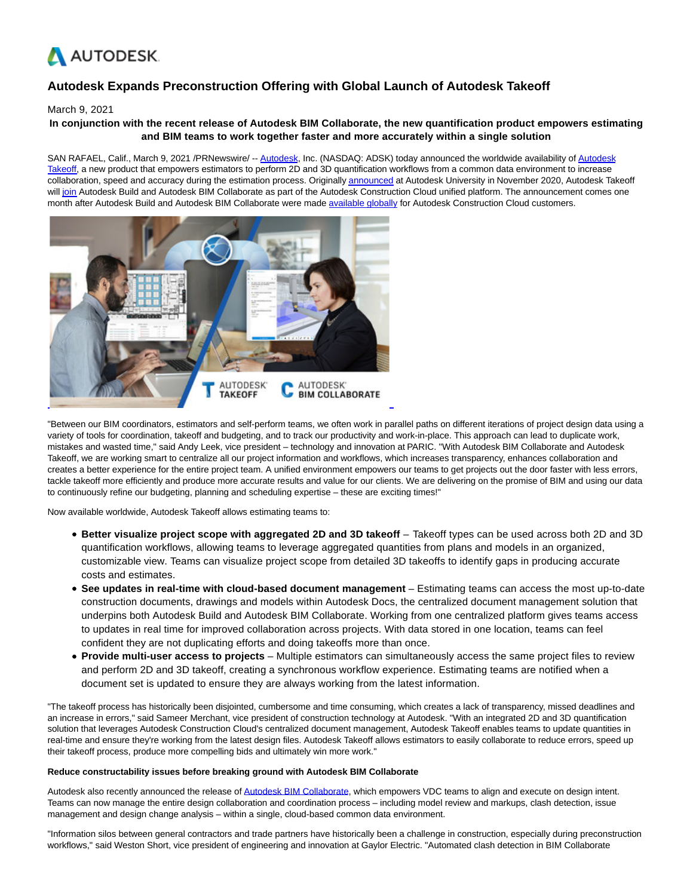

# **Autodesk Expands Preconstruction Offering with Global Launch of Autodesk Takeoff**

### March 9, 2021

# **In conjunction with the recent release of Autodesk BIM Collaborate, the new quantification product empowers estimating and BIM teams to work together faster and more accurately within a single solution**

SAN RAFAEL, Calif., March 9, 2021 /PRNewswire/ -[- Autodesk,](https://c212.net/c/link/?t=0&l=en&o=3090597-1&h=2555460123&u=https%3A%2F%2Fwww.autodesk.com%2F&a=Autodesk) Inc. (NASDAQ: ADSK) today announced the worldwide availability o[f Autodesk](https://c212.net/c/link/?t=0&l=en&o=3090597-1&h=2902464722&u=https%3A%2F%2Fconstruction.autodesk.com%2Fproducts%2Fautodesk-takeoff%2F&a=Autodesk+Takeoff) Takeoff, a new product that empowers estimators to perform 2D and 3D quantification workflows from a common data environment to increase collaboration, speed and accuracy during the estimation process. Originall[y announced a](https://c212.net/c/link/?t=0&l=en&o=3090597-1&h=222969951&u=https%3A%2F%2Fconstructionblog.autodesk.com%2Fautodesk-construction-cloud-expands-unified-platform%2F&a=announced)t Autodesk University in November 2020, Autodesk Takeoff wil[l join A](https://c212.net/c/link/?t=0&l=en&o=3090597-1&h=363922117&u=https%3A%2F%2Fconstruction.autodesk.com%2Fprecon%2Fautodesk-takeoff-bim-collaborate&a=join)utodesk Build and Autodesk BIM Collaborate as part of the Autodesk Construction Cloud unified platform. The announcement comes one month after Autodesk Build and Autodesk BIM Collaborate were made [available globally f](https://c212.net/c/link/?t=0&l=en&o=3090597-1&h=2411135743&u=https%3A%2F%2Fconstructionblog.autodesk.com%2Fautodesk-build-worldwide%2F&a=available+globally)or Autodesk Construction Cloud customers.



"Between our BIM coordinators, estimators and self-perform teams, we often work in parallel paths on different iterations of project design data using a variety of tools for coordination, takeoff and budgeting, and to track our productivity and work-in-place. This approach can lead to duplicate work, mistakes and wasted time," said Andy Leek, vice president – technology and innovation at PARIC. "With Autodesk BIM Collaborate and Autodesk Takeoff, we are working smart to centralize all our project information and workflows, which increases transparency, enhances collaboration and creates a better experience for the entire project team. A unified environment empowers our teams to get projects out the door faster with less errors, tackle takeoff more efficiently and produce more accurate results and value for our clients. We are delivering on the promise of BIM and using our data to continuously refine our budgeting, planning and scheduling expertise – these are exciting times!"

Now available worldwide, Autodesk Takeoff allows estimating teams to:

- **Better visualize project scope with aggregated 2D and 3D takeoff** Takeoff types can be used across both 2D and 3D quantification workflows, allowing teams to leverage aggregated quantities from plans and models in an organized, customizable view. Teams can visualize project scope from detailed 3D takeoffs to identify gaps in producing accurate costs and estimates.
- **See updates in real-time with cloud-based document management** Estimating teams can access the most up-to-date construction documents, drawings and models within Autodesk Docs, the centralized document management solution that underpins both Autodesk Build and Autodesk BIM Collaborate. Working from one centralized platform gives teams access to updates in real time for improved collaboration across projects. With data stored in one location, teams can feel confident they are not duplicating efforts and doing takeoffs more than once.
- **Provide multi-user access to projects** Multiple estimators can simultaneously access the same project files to review and perform 2D and 3D takeoff, creating a synchronous workflow experience. Estimating teams are notified when a document set is updated to ensure they are always working from the latest information.

"The takeoff process has historically been disjointed, cumbersome and time consuming, which creates a lack of transparency, missed deadlines and an increase in errors," said Sameer Merchant, vice president of construction technology at Autodesk. "With an integrated 2D and 3D quantification solution that leverages Autodesk Construction Cloud's centralized document management, Autodesk Takeoff enables teams to update quantities in real-time and ensure they're working from the latest design files. Autodesk Takeoff allows estimators to easily collaborate to reduce errors, speed up their takeoff process, produce more compelling bids and ultimately win more work."

#### **Reduce constructability issues before breaking ground with Autodesk BIM Collaborate**

Autodesk also recently announced the release of [Autodesk BIM Collaborate,](https://c212.net/c/link/?t=0&l=en&o=3090597-1&h=3226341799&u=https%3A%2F%2Fconstruction.autodesk.com%2Fproducts%2Fautodesk-bim-collaborate%2F&a=Autodesk+BIM+Collaborate) which empowers VDC teams to align and execute on design intent. Teams can now manage the entire design collaboration and coordination process – including model review and markups, clash detection, issue management and design change analysis – within a single, cloud-based common data environment.

"Information silos between general contractors and trade partners have historically been a challenge in construction, especially during preconstruction workflows," said Weston Short, vice president of engineering and innovation at Gaylor Electric. "Automated clash detection in BIM Collaborate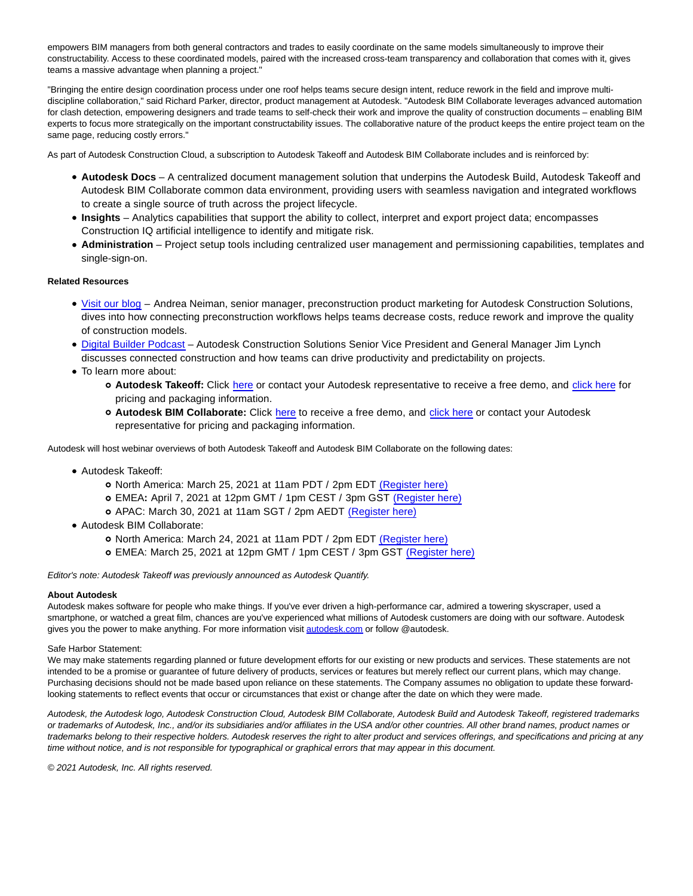empowers BIM managers from both general contractors and trades to easily coordinate on the same models simultaneously to improve their constructability. Access to these coordinated models, paired with the increased cross-team transparency and collaboration that comes with it, gives teams a massive advantage when planning a project."

"Bringing the entire design coordination process under one roof helps teams secure design intent, reduce rework in the field and improve multidiscipline collaboration," said Richard Parker, director, product management at Autodesk. "Autodesk BIM Collaborate leverages advanced automation for clash detection, empowering designers and trade teams to self-check their work and improve the quality of construction documents – enabling BIM experts to focus more strategically on the important constructability issues. The collaborative nature of the product keeps the entire project team on the same page, reducing costly errors."

As part of Autodesk Construction Cloud, a subscription to Autodesk Takeoff and Autodesk BIM Collaborate includes and is reinforced by:

- **Autodesk Docs** A centralized document management solution that underpins the Autodesk Build, Autodesk Takeoff and Autodesk BIM Collaborate common data environment, providing users with seamless navigation and integrated workflows to create a single source of truth across the project lifecycle.
- **Insights** Analytics capabilities that support the ability to collect, interpret and export project data; encompasses Construction IQ artificial intelligence to identify and mitigate risk.
- **Administration** Project setup tools including centralized user management and permissioning capabilities, templates and single-sign-on.

## **Related Resources**

- [Visit our blog –](https://c212.net/c/link/?t=0&l=en&o=3090597-1&h=2194172316&u=https%3A%2F%2Fconstructionblog.autodesk.com%2Fautodesk-preconstruction-advantage%2F&a=Visit+our+blog) Andrea Neiman, senior manager, preconstruction product marketing for Autodesk Construction Solutions, dives into how connecting preconstruction workflows helps teams decrease costs, reduce rework and improve the quality of construction models.
- [Digital Builder Podcast](https://c212.net/c/link/?t=0&l=en&o=3090597-1&h=2742184879&u=https%3A%2F%2Fconstructionblog.autodesk.com%2Fdigital-builder-podcast-episode-6&a=Digital+Builder+Podcast)  Autodesk Construction Solutions Senior Vice President and General Manager Jim Lynch discusses connected construction and how teams can drive productivity and predictability on projects.
- To learn more about:
	- **Autodesk Takeoff:** Click [here o](https://c212.net/c/link/?t=0&l=en&o=3090597-1&h=3963103852&u=https%3A%2F%2Fconstruction.autodesk.com%2Ftrial%2Fautodesk-takeoff&a=here)r contact your Autodesk representative to receive a free demo, and [click here f](https://c212.net/c/link/?t=0&l=en&o=3090597-1&h=1959929482&u=https%3A%2F%2Fconstruction.autodesk.com%2Fpricing%2Fautodesk-takeoff%2F&a=click+here)or pricing and packaging information.
	- **Autodesk BIM Collaborate:** Click [here](https://c212.net/c/link/?t=0&l=en&o=3090597-1&h=763166086&u=https%3A%2F%2Fconstruction.autodesk.com%2Ftrial%2Fautodesk-bim-collaborate%2F&a=here) to receive a free demo, and [click here o](https://c212.net/c/link/?t=0&l=en&o=3090597-1&h=1441363231&u=https%3A%2F%2Fconstruction.autodesk.com%2Fpricing%2Fautodesk-bim-collaborate%2F&a=click+here)r contact your Autodesk representative for pricing and packaging information.

Autodesk will host webinar overviews of both Autodesk Takeoff and Autodesk BIM Collaborate on the following dates:

- Autodesk Takeoff:
	- o North America: March 25, 2021 at 11am PDT / 2pm EDT [\(Register here\)](https://c212.net/c/link/?t=0&l=en&o=3090597-1&h=2937903753&u=https%3A%2F%2Fconstructioncloud.autodesk.com%2FWBN-2021-03-25-TKO-NAMER-IntroducingAutodeskTakeoff_LP-Reg.html&a=(Register+here))
	- EMEA**:** April 7, 2021 at 12pm GMT / 1pm CEST / 3pm GST [\(Register here\)](https://c212.net/c/link/?t=0&l=en&o=3090597-1&h=2516688438&u=https%3A%2F%2Fconstructioncloud.autodesk.com%2FWBN-2021-04-07-TKO-EMEA-TakeOffLaunch_LP-Reg.html&a=(Register+here))
	- APAC: March 30, 2021 at 11am SGT / 2pm AEDT [\(Register here\)](https://c212.net/c/link/?t=0&l=en&o=3090597-1&h=3953696023&u=https%3A%2F%2Fconstructioncloud.autodesk.com%2FWBN-2021-03-30-ACS-APAC-Autodesk-Takeoff_LP-Reg.html&a=(Register+here))
- Autodesk BIM Collaborate:
	- o North America: March 24, 2021 at 11am PDT / 2pm EDT [\(Register here\)](https://c212.net/c/link/?t=0&l=en&o=3090597-1&h=715564995&u=https%3A%2F%2Fconstructioncloud.autodesk.com%2FWBN-2021-03-24-BCO-NAMER-CuttingEdgeCoordinationWorkflowswithBIMCollaborate_LP-Reg.html&a=(Register+here))
	- EMEA: March 25, 2021 at 12pm GMT / 1pm CEST / 3pm GST [\(Register here\)](https://c212.net/c/link/?t=0&l=en&o=3090597-1&h=1708085395&u=https%3A%2F%2Fconstructioncloud.autodesk.com%2FWBN-2021-03-25-BCO-EMEA-BCOLaunchWebinar_LP-Reg.html&a=(Register+here))

Editor's note: Autodesk Takeoff was previously announced as Autodesk Quantify.

#### **About Autodesk**

Autodesk makes software for people who make things. If you've ever driven a high-performance car, admired a towering skyscraper, used a smartphone, or watched a great film, chances are you've experienced what millions of Autodesk customers are doing with our software. Autodesk gives you the power to make anything. For more information visit [autodesk.com o](http://autodesk.com/)r follow @autodesk.

#### Safe Harbor Statement:

We may make statements regarding planned or future development efforts for our existing or new products and services. These statements are not intended to be a promise or guarantee of future delivery of products, services or features but merely reflect our current plans, which may change. Purchasing decisions should not be made based upon reliance on these statements. The Company assumes no obligation to update these forwardlooking statements to reflect events that occur or circumstances that exist or change after the date on which they were made.

Autodesk, the Autodesk logo, Autodesk Construction Cloud, Autodesk BIM Collaborate, Autodesk Build and Autodesk Takeoff, registered trademarks or trademarks of Autodesk, Inc., and/or its subsidiaries and/or affiliates in the USA and/or other countries. All other brand names, product names or trademarks belong to their respective holders. Autodesk reserves the right to alter product and services offerings, and specifications and pricing at any time without notice, and is not responsible for typographical or graphical errors that may appear in this document.

© 2021 Autodesk, Inc. All rights reserved.